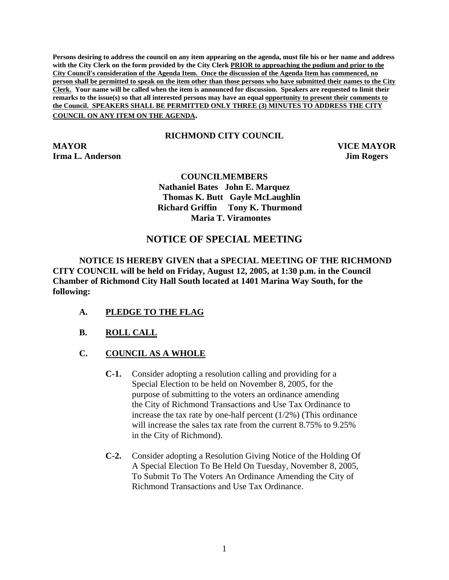**Persons desiring to address the council on any item appearing on the agenda, must file his or her name and address with the City Clerk on the form provided by the City Clerk PRIOR to approaching the podium and prior to the City Council's consideration of the Agenda Item. Once the discussion of the Agenda Item has commenced, no person shall be permitted to speak on the item other than those persons who have submitted their names to the City Clerk. Your name will be called when the item is announced for discussion. Speakers are requested to limit their remarks to the issue(s) so that all interested persons may have an equal opportunity to present their comments to the Council. SPEAKERS SHALL BE PERMITTED ONLY THREE (3) MINUTES TO ADDRESS THE CITY COUNCIL ON ANY ITEM ON THE AGENDA.** 

## **RICHMOND CITY COUNCIL**

**MAYOR VICE MAYOR Irma L. Anderson Jim Rogers** 

## **COUNCILMEMBERS Nathaniel Bates John E. Marquez Thomas K. Butt Gayle McLaughlin Richard Griffin Tony K. Thurmond Maria T. Viramontes**

## **NOTICE OF SPECIAL MEETING**

**NOTICE IS HEREBY GIVEN that a SPECIAL MEETING OF THE RICHMOND CITY COUNCIL will be held on Friday, August 12, 2005, at 1:30 p.m. in the Council Chamber of Richmond City Hall South located at 1401 Marina Way South, for the following:** 

- **A. PLEDGE TO THE FLAG**
- **B. ROLL CALL**
- **C. COUNCIL AS A WHOLE**
	- **C-1.** Consider adopting a resolution calling and providing for a Special Election to be held on November 8, 2005, for the purpose of submitting to the voters an ordinance amending the City of Richmond Transactions and Use Tax Ordinance to increase the tax rate by one-half percent (1/2%) (This ordinance will increase the sales tax rate from the current 8.75% to 9.25% in the City of Richmond).
	- **C-2.** Consider adopting a Resolution Giving Notice of the Holding Of A Special Election To Be Held On Tuesday, November 8, 2005, To Submit To The Voters An Ordinance Amending the City of Richmond Transactions and Use Tax Ordinance.